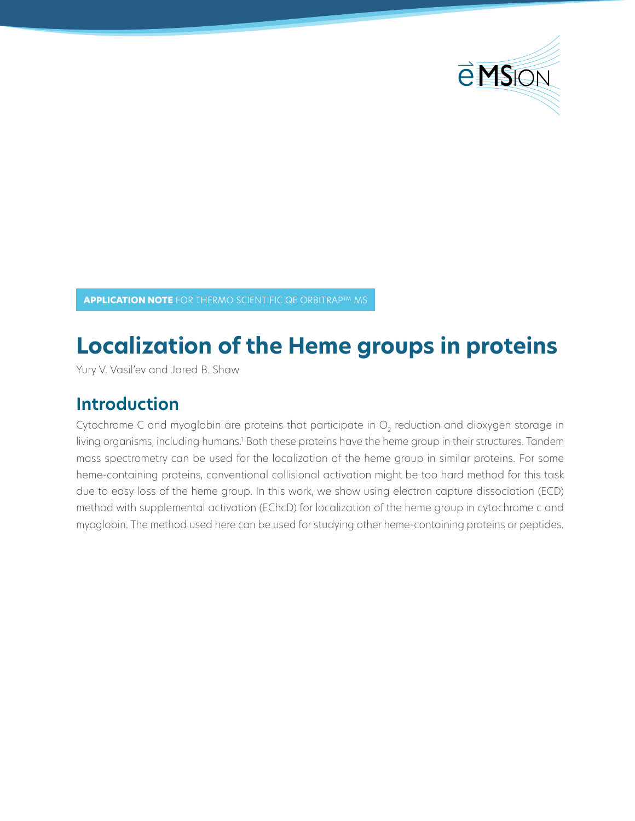

**APPLICATION NOTE** FOR THERMO SCIENTIFIC QE ORBITRAP™ MS

# **Localization of the Heme groups in proteins**

Yury V. Vasil'ev and Jared B. Shaw

## **Introduction**

Cytochrome C and myoglobin are proteins that participate in  $\mathrm{O}_2$  reduction and dioxygen storage in living organisms, including humans.<sup>1</sup> Both these proteins have the heme group in their structures. Tandem mass spectrometry can be used for the localization of the heme group in similar proteins. For some heme-containing proteins, conventional collisional activation might be too hard method for this task due to easy loss of the heme group. In this work, we show using electron capture dissociation (ECD) method with supplemental activation (EChcD) for localization of the heme group in cytochrome c and myoglobin. The method used here can be used for studying other heme-containing proteins or peptides.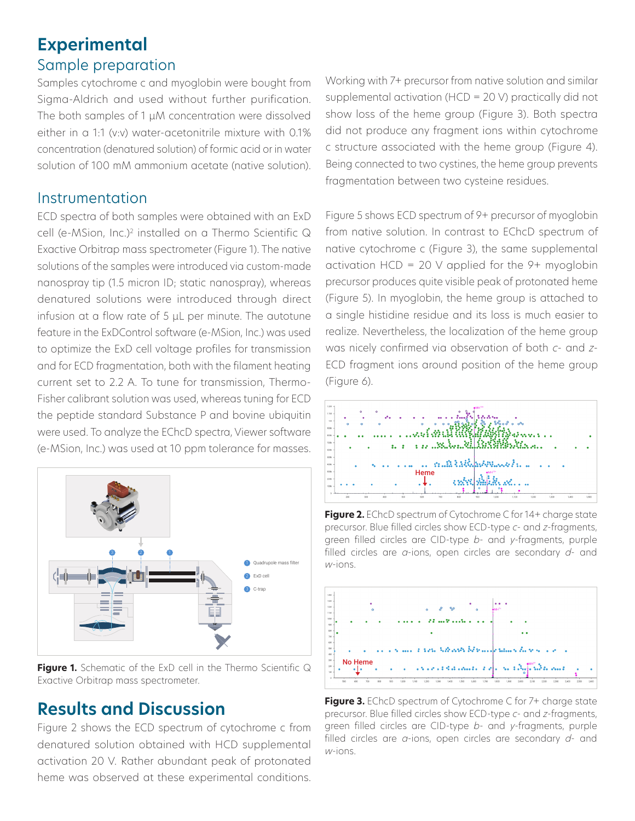### **Experimental** Sample preparation

Samples cytochrome c and myoglobin were bought from Sigma-Aldrich and used without further purification. The both samples of 1 μM concentration were dissolved either in a 1:1 (v:v) water-acetonitrile mixture with 0.1% concentration (denatured solution) of formic acid or in water solution of 100 mM ammonium acetate (native solution).

#### Instrumentation

ECD spectra of both samples were obtained with an ExD cell (e-MSion, Inc.)2 installed on a Thermo Scientific Q Exactive Orbitrap mass spectrometer (Figure 1). The native solutions of the samples were introduced via custom-made nanospray tip (1.5 micron ID; static nanospray), whereas denatured solutions were introduced through direct infusion at a flow rate of 5 μL per minute. The autotune feature in the ExDControl software (e-MSion, Inc.) was used to optimize the ExD cell voltage profiles for transmission and for ECD fragmentation, both with the filament heating current set to 2.2 A. To tune for transmission, Thermo-Fisher calibrant solution was used, whereas tuning for ECD the peptide standard Substance P and bovine ubiquitin were used. To analyze the EChcD spectra, Viewer software (e-MSion, Inc.) was used at 10 ppm tolerance for masses.



**Figure 1.** Schematic of the ExD cell in the Thermo Scientific Q Exactive Orbitrap mass spectrometer.

## **Results and Discussion**

Figure 2 shows the ECD spectrum of cytochrome c from denatured solution obtained with HCD supplemental activation 20 V. Rather abundant peak of protonated heme was observed at these experimental conditions. Working with 7+ precursor from native solution and similar supplemental activation (HCD = 20 V) practically did not show loss of the heme group (Figure 3). Both spectra did not produce any fragment ions within cytochrome c structure associated with the heme group (Figure 4). Being connected to two cystines, the heme group prevents fragmentation between two cysteine residues.

Figure 5 shows ECD spectrum of 9+ precursor of myoglobin from native solution. In contrast to EChcD spectrum of native cytochrome c (Figure 3), the same supplemental activation  $HCD = 20$  V applied for the 9+ myoglobin precursor produces quite visible peak of protonated heme (Figure 5). In myoglobin, the heme group is attached to a single histidine residue and its loss is much easier to realize. Nevertheless, the localization of the heme group was nicely confirmed via observation of both *c*- and *z*-ECD fragment ions around position of the heme group (Figure 6).



**Figure 2.** EChcD spectrum of Cytochrome C for 14+ charge state precursor. Blue filled circles show ECD-type *c*- and *z*-fragments, green filled circles are CID-type *b*- and *y*-fragments, purple filled circles are *a*-ions, open circles are secondary *d*- and *<sup>w</sup>*-ions.



Figure 3. EChcD spectrum of Cytochrome C for 7+ charge state precursor. Blue filled circles show ECD-type *c*- and *z*-fragments, green filled circles are CID-type *b*- and *y*-fragments, purple filled circles are *a*-ions, open circles are secondary *d*- and *<sup>w</sup>*-ions.